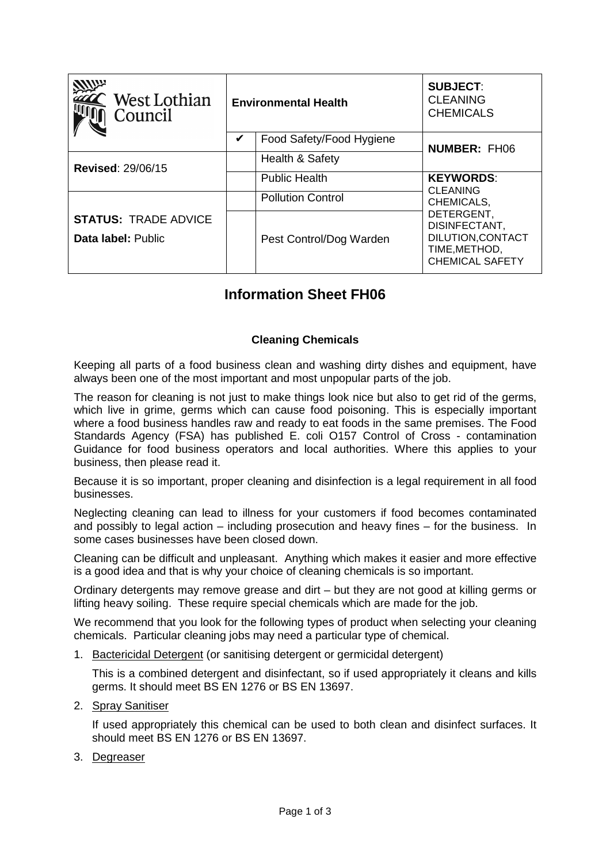| West Lothian<br>Council                           | <b>Environmental Health</b>   | <b>SUBJECT:</b><br><b>CLEANING</b><br><b>CHEMICALS</b>                                      |
|---------------------------------------------------|-------------------------------|---------------------------------------------------------------------------------------------|
|                                                   | Food Safety/Food Hygiene<br>V | <b>NUMBER: FH06</b>                                                                         |
| <b>Revised: 29/06/15</b>                          | Health & Safety               |                                                                                             |
|                                                   | <b>Public Health</b>          | <b>KEYWORDS:</b><br><b>CLEANING</b>                                                         |
|                                                   | <b>Pollution Control</b>      | CHEMICALS,                                                                                  |
| <b>STATUS: TRADE ADVICE</b><br>Data label: Public | Pest Control/Dog Warden       | DETERGENT,<br>DISINFECTANT,<br>DILUTION, CONTACT<br>TIME, METHOD,<br><b>CHEMICAL SAFETY</b> |

## **Information Sheet FH06**

## **Cleaning Chemicals**

Keeping all parts of a food business clean and washing dirty dishes and equipment, have always been one of the most important and most unpopular parts of the job.

The reason for cleaning is not just to make things look nice but also to get rid of the germs, which live in grime, germs which can cause food poisoning. This is especially important where a food business handles raw and ready to eat foods in the same premises. The Food Standards Agency (FSA) has published E. coli O157 Control of Cross - contamination Guidance for food business operators and local authorities. Where this applies to your business, then please read it.

Because it is so important, proper cleaning and disinfection is a legal requirement in all food businesses.

Neglecting cleaning can lead to illness for your customers if food becomes contaminated and possibly to legal action – including prosecution and heavy fines – for the business. In some cases businesses have been closed down.

Cleaning can be difficult and unpleasant. Anything which makes it easier and more effective is a good idea and that is why your choice of cleaning chemicals is so important.

Ordinary detergents may remove grease and dirt – but they are not good at killing germs or lifting heavy soiling. These require special chemicals which are made for the job.

We recommend that you look for the following types of product when selecting your cleaning chemicals. Particular cleaning jobs may need a particular type of chemical.

1. Bactericidal Detergent (or sanitising detergent or germicidal detergent)

This is a combined detergent and disinfectant, so if used appropriately it cleans and kills germs. It should meet BS EN 1276 or BS EN 13697.

2. Spray Sanitiser

If used appropriately this chemical can be used to both clean and disinfect surfaces. It should meet BS EN 1276 or BS EN 13697.

3. Degreaser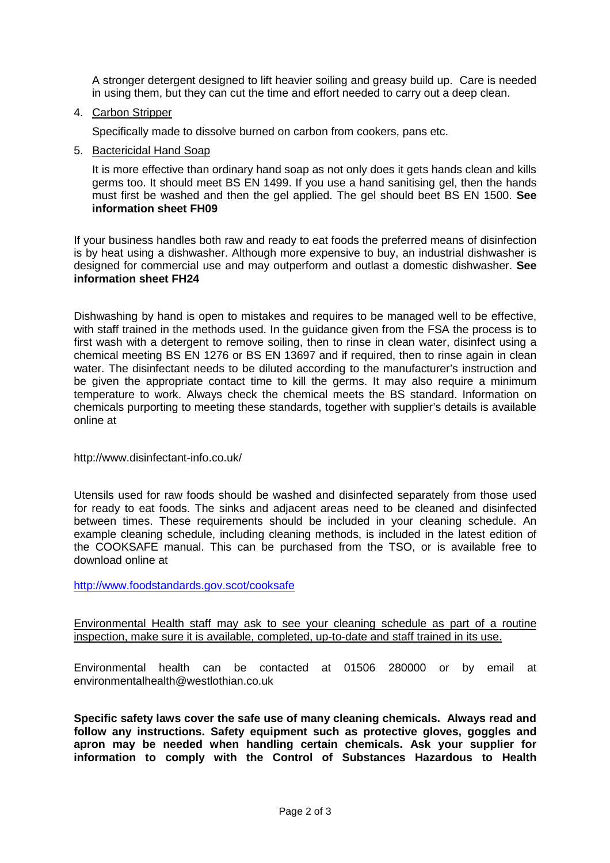A stronger detergent designed to lift heavier soiling and greasy build up. Care is needed in using them, but they can cut the time and effort needed to carry out a deep clean.

4. Carbon Stripper

Specifically made to dissolve burned on carbon from cookers, pans etc.

5. Bactericidal Hand Soap

It is more effective than ordinary hand soap as not only does it gets hands clean and kills germs too. It should meet BS EN 1499. If you use a hand sanitising gel, then the hands must first be washed and then the gel applied. The gel should beet BS EN 1500. **See information sheet FH09**

If your business handles both raw and ready to eat foods the preferred means of disinfection is by heat using a dishwasher. Although more expensive to buy, an industrial dishwasher is designed for commercial use and may outperform and outlast a domestic dishwasher. **See information sheet FH24** 

Dishwashing by hand is open to mistakes and requires to be managed well to be effective, with staff trained in the methods used. In the guidance given from the FSA the process is to first wash with a detergent to remove soiling, then to rinse in clean water, disinfect using a chemical meeting BS EN 1276 or BS EN 13697 and if required, then to rinse again in clean water. The disinfectant needs to be diluted according to the manufacturer's instruction and be given the appropriate contact time to kill the germs. It may also require a minimum temperature to work. Always check the chemical meets the BS standard. Information on chemicals purporting to meeting these standards, together with supplier's details is available online at

http://www.disinfectant-info.co.uk/

Utensils used for raw foods should be washed and disinfected separately from those used for ready to eat foods. The sinks and adjacent areas need to be cleaned and disinfected between times. These requirements should be included in your cleaning schedule. An example cleaning schedule, including cleaning methods, is included in the latest edition of the COOKSAFE manual. This can be purchased from the TSO, or is available free to download online at

http://www.foodstandards.gov.scot/cooksafe

Environmental Health staff may ask to see your cleaning schedule as part of a routine inspection, make sure it is available, completed, up-to-date and staff trained in its use.

Environmental health can be contacted at 01506 280000 or by email at environmentalhealth@westlothian.co.uk

**Specific safety laws cover the safe use of many cleaning chemicals. Always read and follow any instructions. Safety equipment such as protective gloves, goggles and apron may be needed when handling certain chemicals. Ask your supplier for information to comply with the Control of Substances Hazardous to Health**